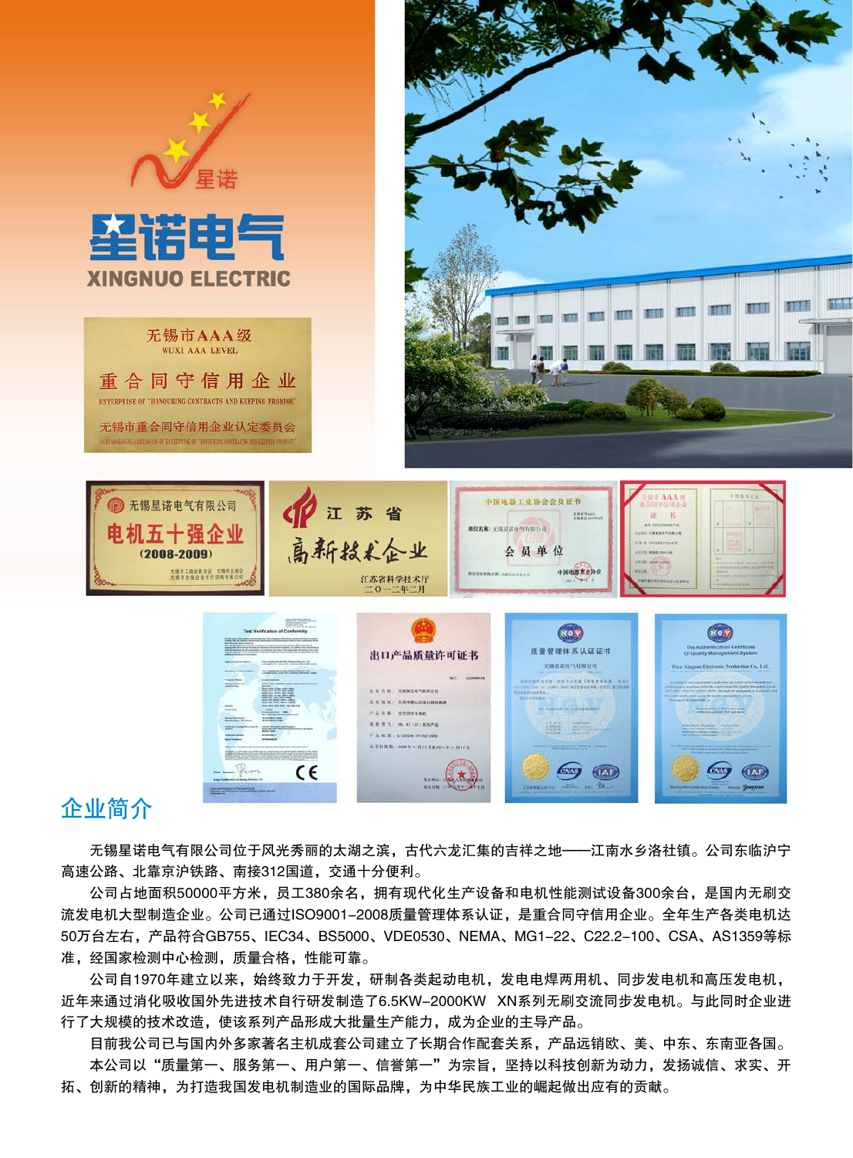

 公司占地面积50000平方米,员工380余名,拥有现代化生产设备和电机性能测试设备300余台,是国内无刷交 流发电机大型制造企业。公司已通过ISO9001-2008质量管理体系认证,是重合同守信用企业。全年生产各类电机达 50万台左右,产品符合GB755、IEC34、BS5000、VDE0530、NEMA、MG1-22、C22.2-100、CSA、AS1359等标 准,经国家检测中心检测,质量合格,性能可靠。

 公司自1970年建立以来,始终致力于开发,研制各类起动电机,发电电焊两用机、同步发电机和高压发电机, 近年来通过消化吸收国外先进技术自行研发制造了6.5KW-2000KW XN系列无刷交流同步发电机。与此同时企业进 行了大规模的技术改造,使该系列产品形成大批量生产能力,成为企业的主导产品。

 目前我公司已与国内外多家著名主机成套公司建立了长期合作配套关系,产品远销欧、美、中东、东南亚各国。 本公司以"质量第一、服务第一、用户第一、信誉第一"为宗旨,坚持以科技创新为动力,发扬诚信、求实、开 拓、创新的精神,为打造我国发电机制造业的国际品牌,为中华民族工业的崛起做出应有的贡献。